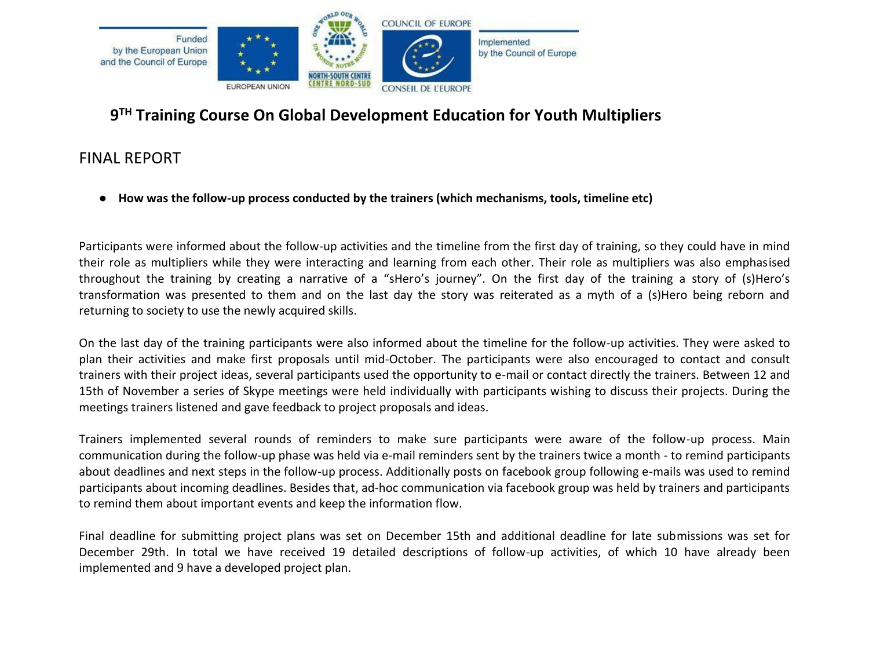

# **9 TH Training Course On Global Development Education for Youth Multipliers**

# FINAL REPORT

● **How was the follow-up process conducted by the trainers (which mechanisms, tools, timeline etc)**

Participants were informed about the follow-up activities and the timeline from the first day of training, so they could have in mind their role as multipliers while they were interacting and learning from each other. Their role as multipliers was also emphasised throughout the training by creating a narrative of a "sHero's journey". On the first day of the training a story of (s)Hero's transformation was presented to them and on the last day the story was reiterated as a myth of a (s)Hero being reborn and returning to society to use the newly acquired skills.

On the last day of the training participants were also informed about the timeline for the follow-up activities. They were asked to plan their activities and make first proposals until mid-October. The participants were also encouraged to contact and consult trainers with their project ideas, several participants used the opportunity to e-mail or contact directly the trainers. Between 12 and 15th of November a series of Skype meetings were held individually with participants wishing to discuss their projects. During the meetings trainers listened and gave feedback to project proposals and ideas.

Trainers implemented several rounds of reminders to make sure participants were aware of the follow-up process. Main communication during the follow-up phase was held via e-mail reminders sent by the trainers twice a month - to remind participants about deadlines and next steps in the follow-up process. Additionally posts on facebook group following e-mails was used to remind participants about incoming deadlines. Besides that, ad-hoc communication via facebook group was held by trainers and participants to remind them about important events and keep the information flow.

Final deadline for submitting project plans was set on December 15th and additional deadline for late submissions was set for December 29th. In total we have received 19 detailed descriptions of follow-up activities, of which 10 have already been implemented and 9 have a developed project plan.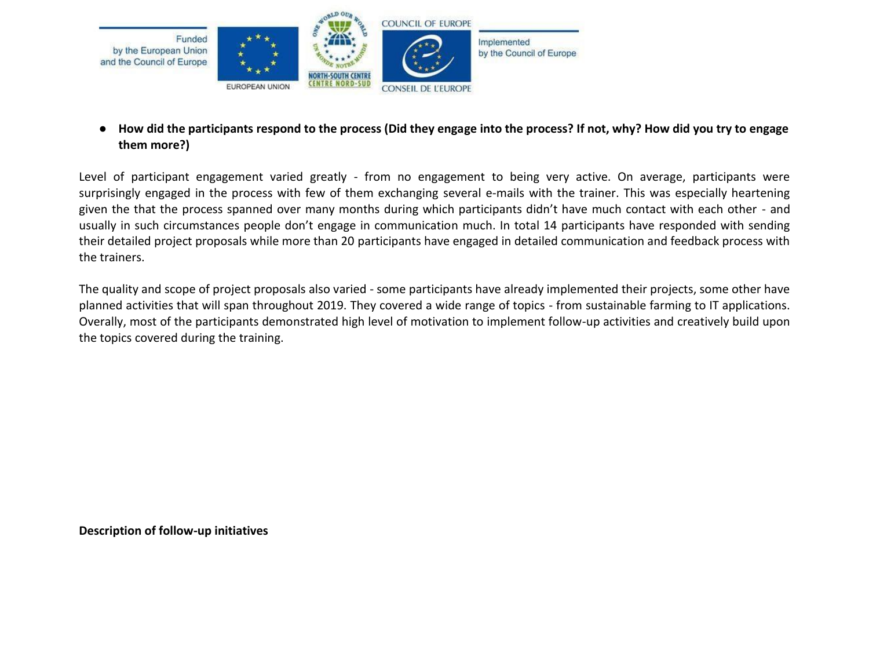

● **How did the participants respond to the process (Did they engage into the process? If not, why? How did you try to engage them more?)**

Level of participant engagement varied greatly - from no engagement to being very active. On average, participants were surprisingly engaged in the process with few of them exchanging several e-mails with the trainer. This was especially heartening given the that the process spanned over many months during which participants didn't have much contact with each other - and usually in such circumstances people don't engage in communication much. In total 14 participants have responded with sending their detailed project proposals while more than 20 participants have engaged in detailed communication and feedback process with the trainers.

The quality and scope of project proposals also varied - some participants have already implemented their projects, some other have planned activities that will span throughout 2019. They covered a wide range of topics - from sustainable farming to IT applications. Overally, most of the participants demonstrated high level of motivation to implement follow-up activities and creatively build upon the topics covered during the training.

**Description of follow-up initiatives**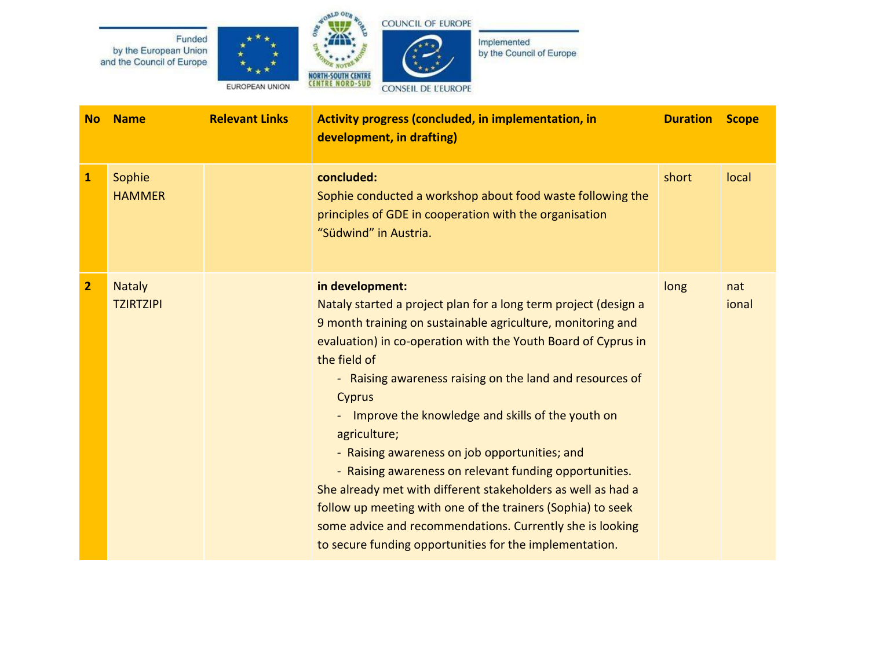

Funded

by the European Union

and the Council of Europe



Implemented by the Council of Europe

**No Name Relevant Links Activity progress (concluded, in implementation, in development, in drafting) Duration Scope 1** Sophie **HAMMER concluded:** Sophie conducted a workshop about food waste following the principles of GDE in cooperation with the organisation "Südwind" in Austria. short local **2** Nataly **TZIRTZIPI in development:** Nataly started a project plan for a long term project (design a 9 month training on sustainable agriculture, monitoring and evaluation) in co-operation with the Youth Board of Cyprus in the field of - Raising awareness raising on the land and resources of Cyprus - Improve the knowledge and skills of the youth on agriculture; - Raising awareness on job opportunities; and - Raising awareness on relevant funding opportunities. She already met with different stakeholders as well as had a follow up meeting with one of the trainers (Sophia) to seek some advice and recommendations. Currently she is looking to secure funding opportunities for the implementation. long nat ional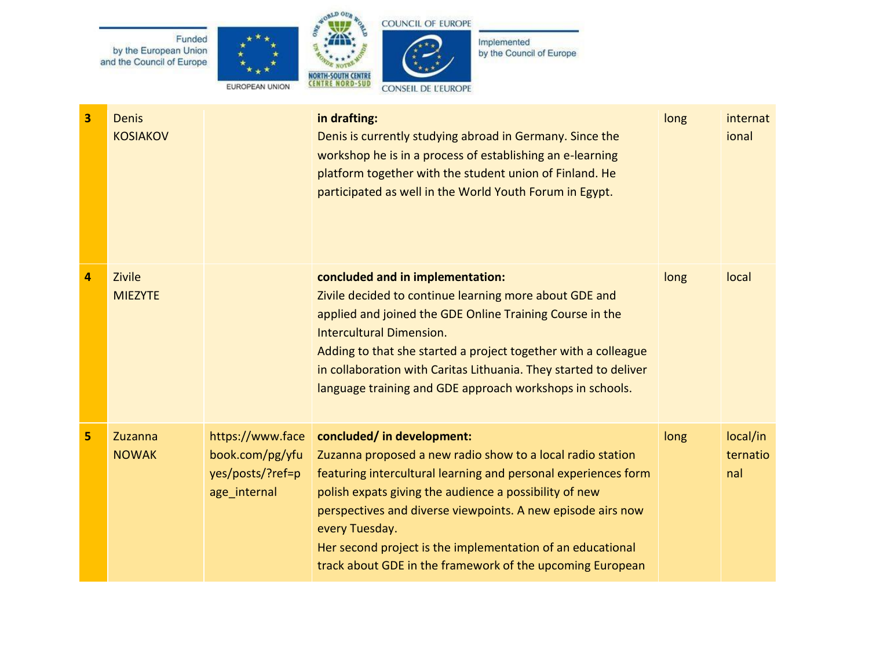

| 3              | <b>Denis</b><br><b>KOSIAKOV</b> |                                                                         | in drafting:<br>Denis is currently studying abroad in Germany. Since the<br>workshop he is in a process of establishing an e-learning<br>platform together with the student union of Finland. He<br>participated as well in the World Youth Forum in Egypt.                                                                                                                                                                      | long | internat<br>ional           |
|----------------|---------------------------------|-------------------------------------------------------------------------|----------------------------------------------------------------------------------------------------------------------------------------------------------------------------------------------------------------------------------------------------------------------------------------------------------------------------------------------------------------------------------------------------------------------------------|------|-----------------------------|
| 4              | Zivile<br><b>MIEZYTE</b>        |                                                                         | concluded and in implementation:<br>Zivile decided to continue learning more about GDE and<br>applied and joined the GDE Online Training Course in the<br><b>Intercultural Dimension.</b><br>Adding to that she started a project together with a colleague<br>in collaboration with Caritas Lithuania. They started to deliver<br>language training and GDE approach workshops in schools.                                      | long | local                       |
| 5 <sup>1</sup> | Zuzanna<br><b>NOWAK</b>         | https://www.face<br>book.com/pg/yfu<br>yes/posts/?ref=p<br>age_internal | concluded/ in development:<br>Zuzanna proposed a new radio show to a local radio station<br>featuring intercultural learning and personal experiences form<br>polish expats giving the audience a possibility of new<br>perspectives and diverse viewpoints. A new episode airs now<br>every Tuesday.<br>Her second project is the implementation of an educational<br>track about GDE in the framework of the upcoming European | long | local/in<br>ternatio<br>nal |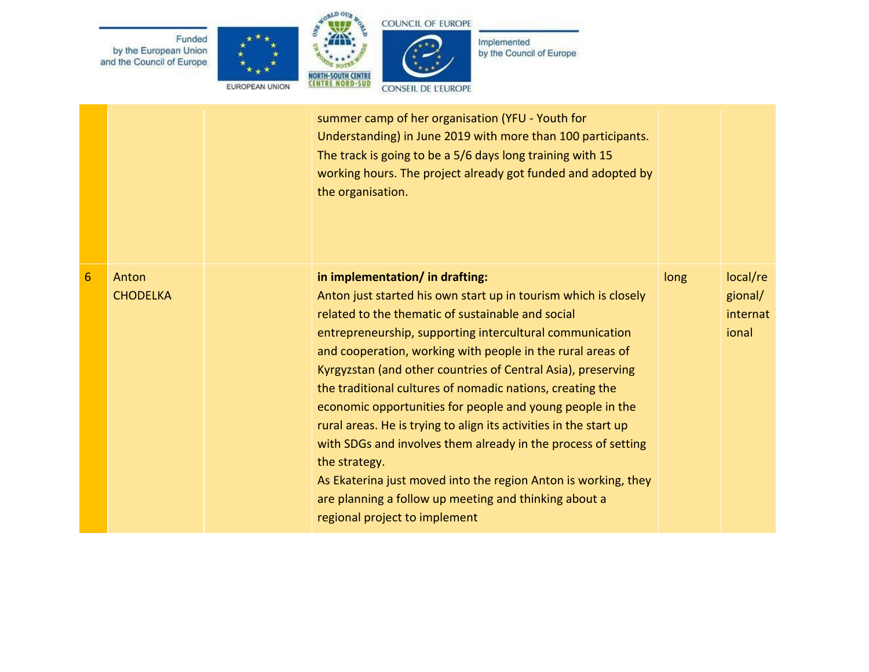







Implemented<br>by the Council of Europe

|                |                          | summer camp of her organisation (YFU - Youth for<br>Understanding) in June 2019 with more than 100 participants.<br>The track is going to be a 5/6 days long training with 15<br>working hours. The project already got funded and adopted by<br>the organisation.                                                                                                                                                                                                                                                                                                                                                                                                                                                                                                                             |      |                                          |
|----------------|--------------------------|------------------------------------------------------------------------------------------------------------------------------------------------------------------------------------------------------------------------------------------------------------------------------------------------------------------------------------------------------------------------------------------------------------------------------------------------------------------------------------------------------------------------------------------------------------------------------------------------------------------------------------------------------------------------------------------------------------------------------------------------------------------------------------------------|------|------------------------------------------|
| $6\phantom{1}$ | Anton<br><b>CHODELKA</b> | in implementation/ in drafting:<br>Anton just started his own start up in tourism which is closely<br>related to the thematic of sustainable and social<br>entrepreneurship, supporting intercultural communication<br>and cooperation, working with people in the rural areas of<br>Kyrgyzstan (and other countries of Central Asia), preserving<br>the traditional cultures of nomadic nations, creating the<br>economic opportunities for people and young people in the<br>rural areas. He is trying to align its activities in the start up<br>with SDGs and involves them already in the process of setting<br>the strategy.<br>As Ekaterina just moved into the region Anton is working, they<br>are planning a follow up meeting and thinking about a<br>regional project to implement | long | local/re<br>gional/<br>internat<br>ional |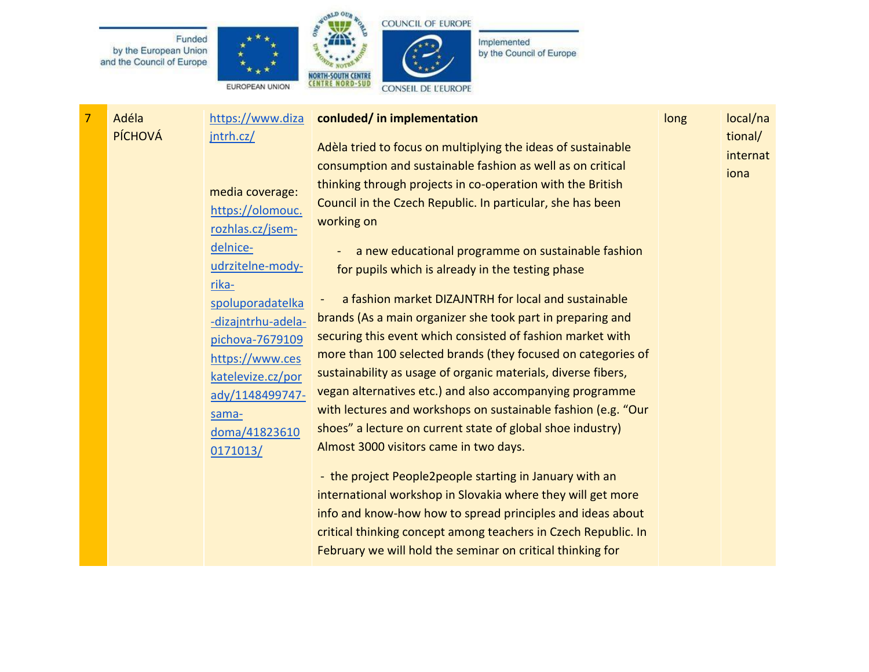Funded by the European Union and the Council of Europe







Implemented by the Council of Europe

7 Adéla PÍCHOVÁ [https://www.diza](https://www.dizajntrh.cz/) [jntrh.cz/](https://www.dizajntrh.cz/) media coverage: [https://olomouc.](https://olomouc.rozhlas.cz/jsem-delnice-udrzitelne-mody-rika-spoluporadatelka-dizajntrhu-adela-pichova-7679109) [rozhlas.cz/jsem](https://olomouc.rozhlas.cz/jsem-delnice-udrzitelne-mody-rika-spoluporadatelka-dizajntrhu-adela-pichova-7679109)[delnice](https://olomouc.rozhlas.cz/jsem-delnice-udrzitelne-mody-rika-spoluporadatelka-dizajntrhu-adela-pichova-7679109)[udrzitelne-mody](https://olomouc.rozhlas.cz/jsem-delnice-udrzitelne-mody-rika-spoluporadatelka-dizajntrhu-adela-pichova-7679109)[rika](https://olomouc.rozhlas.cz/jsem-delnice-udrzitelne-mody-rika-spoluporadatelka-dizajntrhu-adela-pichova-7679109)[spoluporadatelka](https://olomouc.rozhlas.cz/jsem-delnice-udrzitelne-mody-rika-spoluporadatelka-dizajntrhu-adela-pichova-7679109) [-dizajntrhu-adela](https://olomouc.rozhlas.cz/jsem-delnice-udrzitelne-mody-rika-spoluporadatelka-dizajntrhu-adela-pichova-7679109)[pichova-7679109](https://olomouc.rozhlas.cz/jsem-delnice-udrzitelne-mody-rika-spoluporadatelka-dizajntrhu-adela-pichova-7679109) [https://www.ces](https://www.ceskatelevize.cz/porady/1148499747-sama-doma/418236100171013/) [katelevize.cz/por](https://www.ceskatelevize.cz/porady/1148499747-sama-doma/418236100171013/) [ady/1148499747](https://www.ceskatelevize.cz/porady/1148499747-sama-doma/418236100171013/) [sama](https://www.ceskatelevize.cz/porady/1148499747-sama-doma/418236100171013/)[doma/41823610](https://www.ceskatelevize.cz/porady/1148499747-sama-doma/418236100171013/) [0171013/](https://www.ceskatelevize.cz/porady/1148499747-sama-doma/418236100171013/) **conluded/ in implementation** Adèla tried to focus on multiplying the ideas of sustainable consumption and sustainable fashion as well as on critical thinking through projects in co-operation with the British Council in the Czech Republic. In particular, she has been working on - a new educational programme on sustainable fashion for pupils which is already in the testing phase a fashion market DIZAJNTRH for local and sustainable brands (As a main organizer she took part in preparing and securing this event which consisted of fashion market with more than 100 selected brands (they focused on categories of sustainability as usage of organic materials, diverse fibers, vegan alternatives etc.) and also accompanying programme with lectures and workshops on sustainable fashion (e.g. "Our shoes" a lecture on current state of global shoe industry) Almost 3000 visitors came in two days. - the project People2people starting in January with an international workshop in Slovakia where they will get more info and know-how how to spread principles and ideas about critical thinking concept among teachers in Czech Republic. In February we will hold the seminar on critical thinking for long local/na tional/ internat iona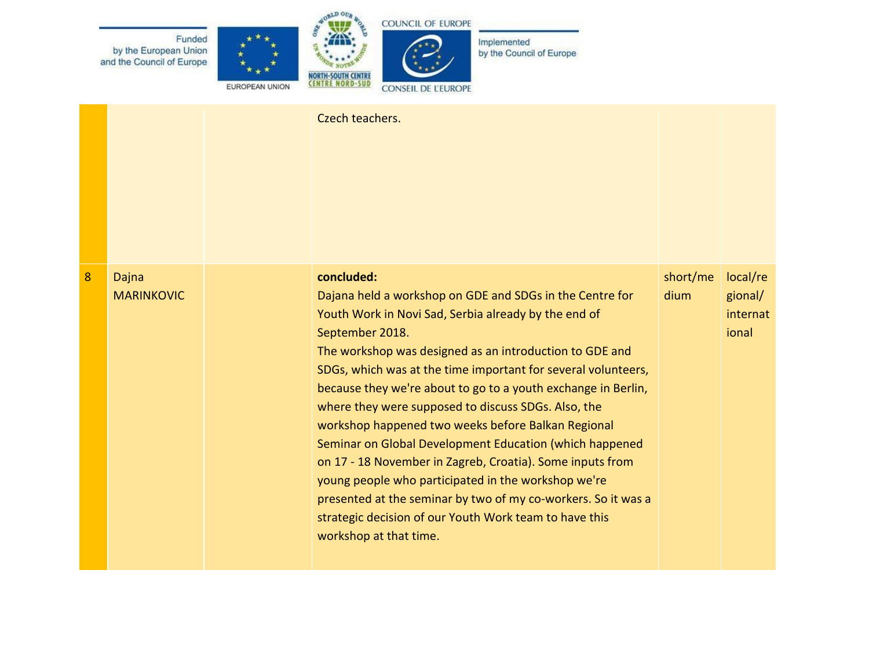

|   |                            | Czech teachers.                                                                                                                                                                                                                                                                                                                                                                                                                                                                                                                                                                                                                                                                                                                                                                                 |                  |                                          |
|---|----------------------------|-------------------------------------------------------------------------------------------------------------------------------------------------------------------------------------------------------------------------------------------------------------------------------------------------------------------------------------------------------------------------------------------------------------------------------------------------------------------------------------------------------------------------------------------------------------------------------------------------------------------------------------------------------------------------------------------------------------------------------------------------------------------------------------------------|------------------|------------------------------------------|
| 8 | Dajna<br><b>MARINKOVIC</b> | concluded:<br>Dajana held a workshop on GDE and SDGs in the Centre for<br>Youth Work in Novi Sad, Serbia already by the end of<br>September 2018.<br>The workshop was designed as an introduction to GDE and<br>SDGs, which was at the time important for several volunteers,<br>because they we're about to go to a youth exchange in Berlin,<br>where they were supposed to discuss SDGs. Also, the<br>workshop happened two weeks before Balkan Regional<br>Seminar on Global Development Education (which happened<br>on 17 - 18 November in Zagreb, Croatia). Some inputs from<br>young people who participated in the workshop we're<br>presented at the seminar by two of my co-workers. So it was a<br>strategic decision of our Youth Work team to have this<br>workshop at that time. | short/me<br>dium | local/re<br>gional/<br>internat<br>ional |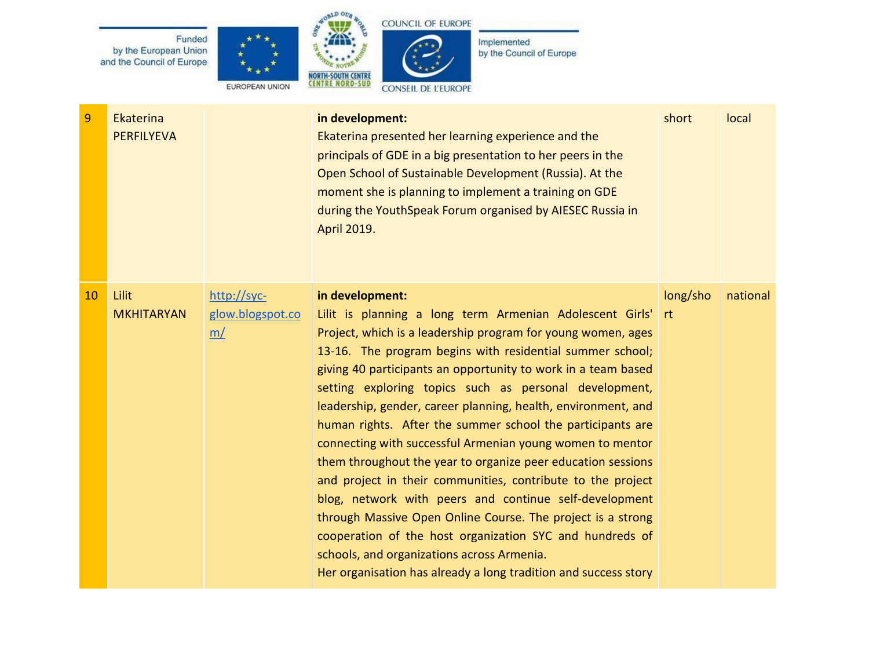







| 9  | Ekaterina<br><b>PERFILYEVA</b> |                                       | in development:<br>Ekaterina presented her learning experience and the<br>principals of GDE in a big presentation to her peers in the<br>Open School of Sustainable Development (Russia). At the<br>moment she is planning to implement a training on GDE<br>during the YouthSpeak Forum organised by AIESEC Russia in<br>April 2019.                                                                                                                                                                                                                                                                                                                                                                                                                                                                                                                                                                                                                                | short          | local    |
|----|--------------------------------|---------------------------------------|----------------------------------------------------------------------------------------------------------------------------------------------------------------------------------------------------------------------------------------------------------------------------------------------------------------------------------------------------------------------------------------------------------------------------------------------------------------------------------------------------------------------------------------------------------------------------------------------------------------------------------------------------------------------------------------------------------------------------------------------------------------------------------------------------------------------------------------------------------------------------------------------------------------------------------------------------------------------|----------------|----------|
| 10 | Lilit<br><b>MKHITARYAN</b>     | http://syc-<br>glow.blogspot.co<br>m/ | in development:<br>Lilit is planning a long term Armenian Adolescent Girls'<br>Project, which is a leadership program for young women, ages<br>13-16. The program begins with residential summer school;<br>giving 40 participants an opportunity to work in a team based<br>setting exploring topics such as personal development,<br>leadership, gender, career planning, health, environment, and<br>human rights. After the summer school the participants are<br>connecting with successful Armenian young women to mentor<br>them throughout the year to organize peer education sessions<br>and project in their communities, contribute to the project<br>blog, network with peers and continue self-development<br>through Massive Open Online Course. The project is a strong<br>cooperation of the host organization SYC and hundreds of<br>schools, and organizations across Armenia.<br>Her organisation has already a long tradition and success story | long/sho<br>rt | national |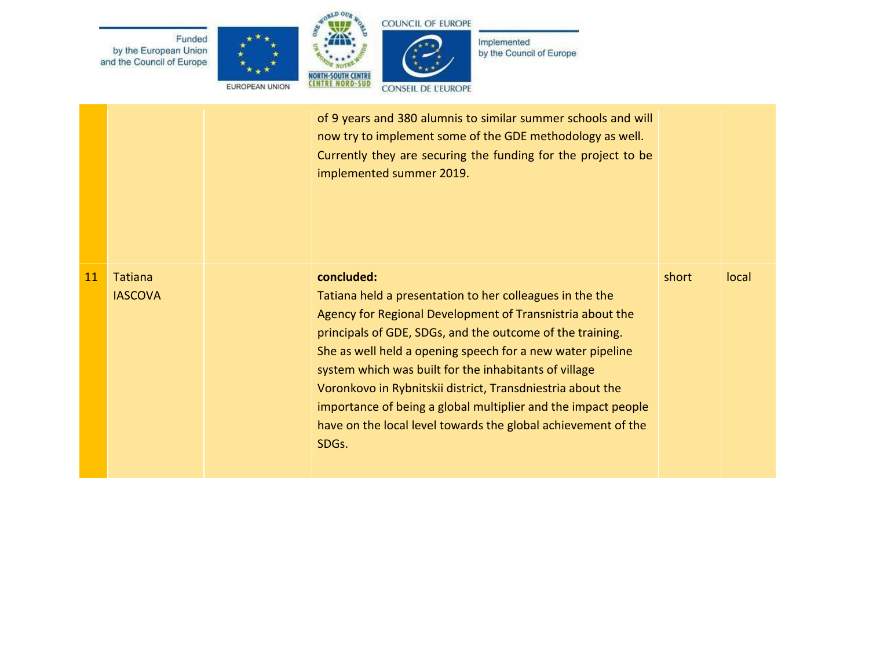

|    |                                  | of 9 years and 380 alumnis to similar summer schools and will<br>now try to implement some of the GDE methodology as well.<br>Currently they are securing the funding for the project to be<br>implemented summer 2019.                                                                                                                                                                                                                                                                                                          |       |       |
|----|----------------------------------|----------------------------------------------------------------------------------------------------------------------------------------------------------------------------------------------------------------------------------------------------------------------------------------------------------------------------------------------------------------------------------------------------------------------------------------------------------------------------------------------------------------------------------|-------|-------|
| 11 | <b>Tatiana</b><br><b>IASCOVA</b> | concluded:<br>Tatiana held a presentation to her colleagues in the the<br>Agency for Regional Development of Transnistria about the<br>principals of GDE, SDGs, and the outcome of the training.<br>She as well held a opening speech for a new water pipeline<br>system which was built for the inhabitants of village<br>Voronkovo in Rybnitskii district, Transdniestria about the<br>importance of being a global multiplier and the impact people<br>have on the local level towards the global achievement of the<br>SDGs. | short | local |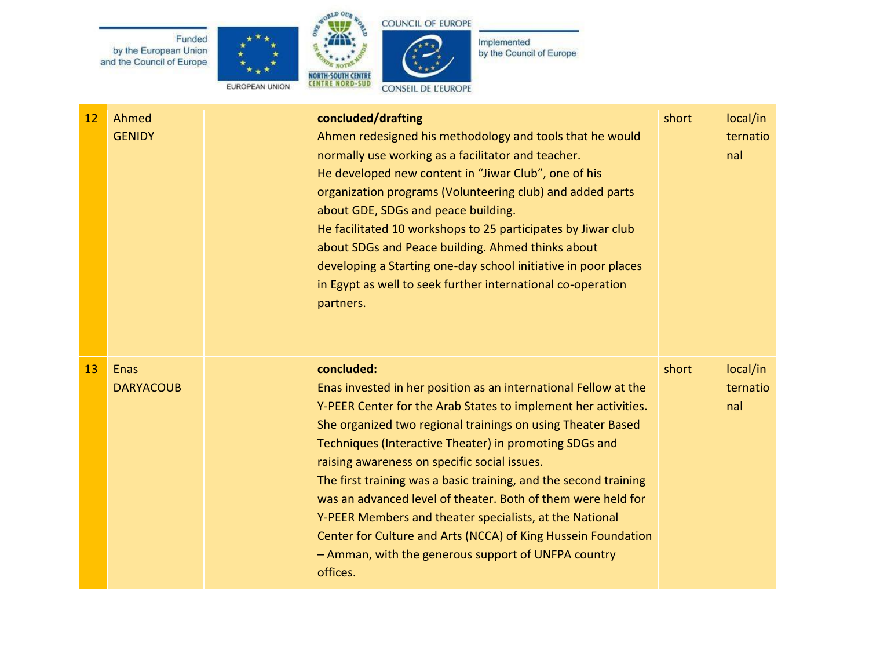Funded by the European Union<br>and the Council of Europe







Implemented<br>by the Council of Europe

| 12 | Ahmed<br><b>GENIDY</b>   | concluded/drafting<br>Ahmen redesigned his methodology and tools that he would<br>normally use working as a facilitator and teacher.<br>He developed new content in "Jiwar Club", one of his<br>organization programs (Volunteering club) and added parts<br>about GDE, SDGs and peace building.<br>He facilitated 10 workshops to 25 participates by Jiwar club<br>about SDGs and Peace building. Ahmed thinks about<br>developing a Starting one-day school initiative in poor places<br>in Egypt as well to seek further international co-operation<br>partners.                                                                                         | short | local/in<br>ternatio<br>nal |
|----|--------------------------|-------------------------------------------------------------------------------------------------------------------------------------------------------------------------------------------------------------------------------------------------------------------------------------------------------------------------------------------------------------------------------------------------------------------------------------------------------------------------------------------------------------------------------------------------------------------------------------------------------------------------------------------------------------|-------|-----------------------------|
| 13 | Enas<br><b>DARYACOUB</b> | concluded:<br>Enas invested in her position as an international Fellow at the<br>Y-PEER Center for the Arab States to implement her activities.<br>She organized two regional trainings on using Theater Based<br>Techniques (Interactive Theater) in promoting SDGs and<br>raising awareness on specific social issues.<br>The first training was a basic training, and the second training<br>was an advanced level of theater. Both of them were held for<br>Y-PEER Members and theater specialists, at the National<br>Center for Culture and Arts (NCCA) of King Hussein Foundation<br>- Amman, with the generous support of UNFPA country<br>offices. | short | local/in<br>ternatio<br>nal |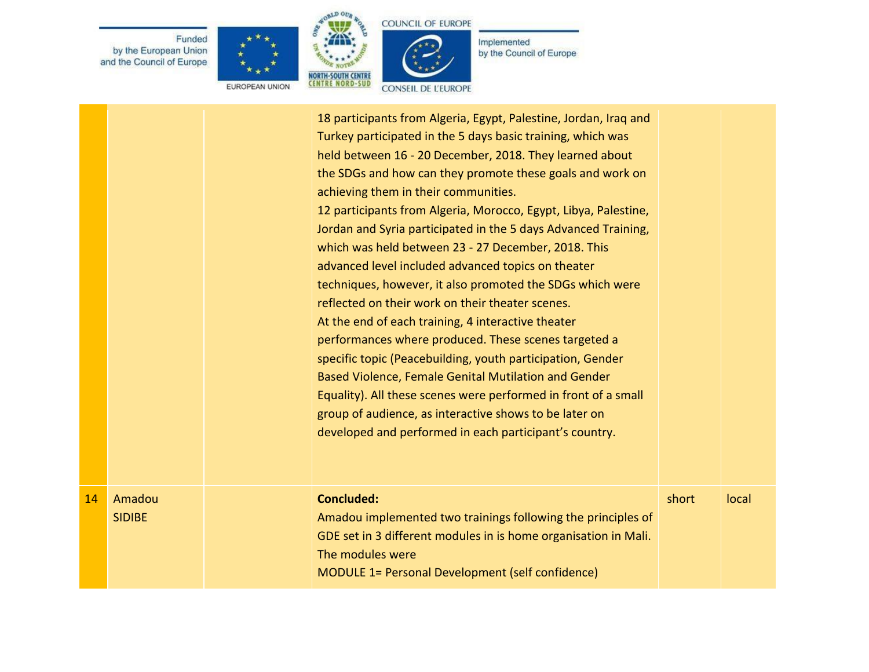Funded by the European Union<br>and the Council of Europe







Implemented<br>by the Council of Europe

EUROPEAN UNION

|    |                         | 18 participants from Algeria, Egypt, Palestine, Jordan, Iraq and<br>Turkey participated in the 5 days basic training, which was<br>held between 16 - 20 December, 2018. They learned about<br>the SDGs and how can they promote these goals and work on<br>achieving them in their communities.<br>12 participants from Algeria, Morocco, Egypt, Libya, Palestine,<br>Jordan and Syria participated in the 5 days Advanced Training,<br>which was held between 23 - 27 December, 2018. This<br>advanced level included advanced topics on theater<br>techniques, however, it also promoted the SDGs which were<br>reflected on their work on their theater scenes.<br>At the end of each training, 4 interactive theater<br>performances where produced. These scenes targeted a<br>specific topic (Peacebuilding, youth participation, Gender<br>Based Violence, Female Genital Mutilation and Gender<br>Equality). All these scenes were performed in front of a small<br>group of audience, as interactive shows to be later on<br>developed and performed in each participant's country. |       |       |
|----|-------------------------|----------------------------------------------------------------------------------------------------------------------------------------------------------------------------------------------------------------------------------------------------------------------------------------------------------------------------------------------------------------------------------------------------------------------------------------------------------------------------------------------------------------------------------------------------------------------------------------------------------------------------------------------------------------------------------------------------------------------------------------------------------------------------------------------------------------------------------------------------------------------------------------------------------------------------------------------------------------------------------------------------------------------------------------------------------------------------------------------|-------|-------|
| 14 | Amadou<br><b>SIDIBE</b> | <b>Concluded:</b><br>Amadou implemented two trainings following the principles of<br>GDE set in 3 different modules in is home organisation in Mali.<br>The modules were<br>MODULE 1= Personal Development (self confidence)                                                                                                                                                                                                                                                                                                                                                                                                                                                                                                                                                                                                                                                                                                                                                                                                                                                                 | short | local |